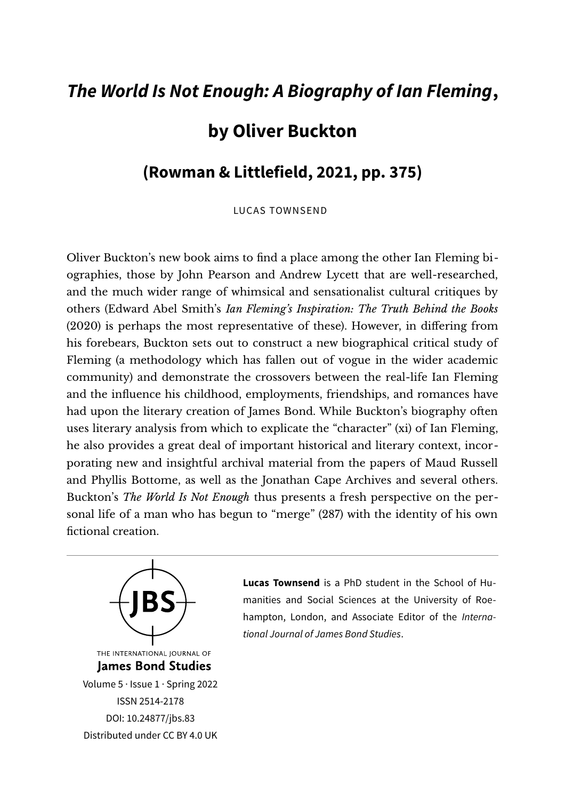## *The World Is Not Enough: A Biography of Ian Fleming***,**

## **by Oliver Buckton**

## **(Rowman & Littlefield, 2021, pp. 375)**

LUCAS TOWNSEND

Oliver Buckton's new book aims to fnd a place among the other Ian Fleming biographies, those by John Pearson and Andrew Lycett that are well-researched, and the much wider range of whimsical and sensationalist cultural critiques by others (Edward Abel Smith's *Ian Fleming's Inspiration: The Truth Behind the Books* (2020) is perhaps the most representative of these). However, in difering from his forebears, Buckton sets out to construct a new biographical critical study of Fleming (a methodology which has fallen out of vogue in the wider academic community) and demonstrate the crossovers between the real-life Ian Fleming and the infuence his childhood, employments, friendships, and romances have had upon the literary creation of James Bond. While Buckton's biography ofen uses literary analysis from which to explicate the "character" (xi) of Ian Fleming, he also provides a great deal of important historical and literary context, incorporating new and insightful archival material from the papers of Maud Russell and Phyllis Bottome, as well as the Jonathan Cape Archives and several others. Buckton's *The World Is Not Enough* thus presents a fresh perspective on the personal life of a man who has begun to "merge" (287) with the identity of his own fictional creation.



**Lucas Townsend** is a PhD student in the School of Humanities and Social Sciences at the University of Roehampton, London, and Associate Editor of the *International Journal of James Bond Studies*.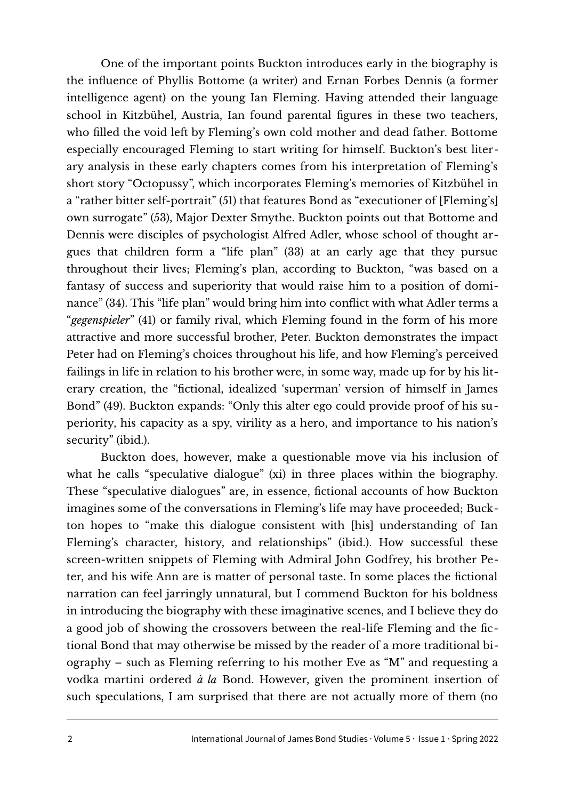One of the important points Buckton introduces early in the biography is the infuence of Phyllis Bottome (a writer) and Ernan Forbes Dennis (a former intelligence agent) on the young Ian Fleming. Having attended their language school in Kitzbühel, Austria, Ian found parental fgures in these two teachers, who filled the void left by Fleming's own cold mother and dead father. Bottome especially encouraged Fleming to start writing for himself. Buckton's best literary analysis in these early chapters comes from his interpretation of Fleming's short story "Octopussy", which incorporates Fleming's memories of Kitzbühel in a "rather bitter self-portrait" (51) that features Bond as "executioner of [Fleming's] own surrogate" (53), Major Dexter Smythe. Buckton points out that Bottome and Dennis were disciples of psychologist Alfred Adler, whose school of thought argues that children form a "life plan" (33) at an early age that they pursue throughout their lives; Fleming's plan, according to Buckton, "was based on a fantasy of success and superiority that would raise him to a position of dominance" (34). This "life plan" would bring him into confict with what Adler terms a "*gegenspieler*" (41) or family rival, which Fleming found in the form of his more attractive and more successful brother, Peter. Buckton demonstrates the impact Peter had on Fleming's choices throughout his life, and how Fleming's perceived failings in life in relation to his brother were, in some way, made up for by his literary creation, the "fctional, idealized 'superman' version of himself in James Bond" (49). Buckton expands: "Only this alter ego could provide proof of his superiority, his capacity as a spy, virility as a hero, and importance to his nation's security" (ibid.).

Buckton does, however, make a questionable move via his inclusion of what he calls "speculative dialogue" (xi) in three places within the biography. These "speculative dialogues" are, in essence, fctional accounts of how Buckton imagines some of the conversations in Fleming's life may have proceeded; Buckton hopes to "make this dialogue consistent with [his] understanding of Ian Fleming's character, history, and relationships" (ibid.). How successful these screen-written snippets of Fleming with Admiral John Godfrey, his brother Peter, and his wife Ann are is matter of personal taste. In some places the fctional narration can feel jarringly unnatural, but I commend Buckton for his boldness in introducing the biography with these imaginative scenes, and I believe they do a good job of showing the crossovers between the real-life Fleming and the fctional Bond that may otherwise be missed by the reader of a more traditional biography – such as Fleming referring to his mother Eve as "M" and requesting a vodka martini ordered *à la* Bond. However, given the prominent insertion of such speculations, I am surprised that there are not actually more of them (no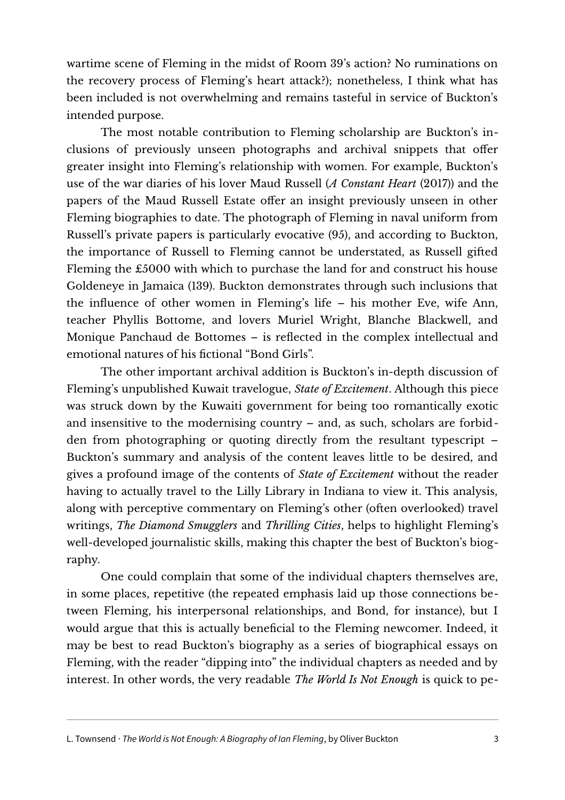wartime scene of Fleming in the midst of Room 39's action? No ruminations on the recovery process of Fleming's heart attack?); nonetheless, I think what has been included is not overwhelming and remains tasteful in service of Buckton's intended purpose.

The most notable contribution to Fleming scholarship are Buckton's inclusions of previously unseen photographs and archival snippets that offer greater insight into Fleming's relationship with women. For example, Buckton's use of the war diaries of his lover Maud Russell (*A Constant Heart* (2017)) and the papers of the Maud Russell Estate offer an insight previously unseen in other Fleming biographies to date. The photograph of Fleming in naval uniform from Russell's private papers is particularly evocative (95), and according to Buckton, the importance of Russell to Fleming cannot be understated, as Russell gifed Fleming the £5000 with which to purchase the land for and construct his house Goldeneye in Jamaica (139). Buckton demonstrates through such inclusions that the infuence of other women in Fleming's life – his mother Eve, wife Ann, teacher Phyllis Bottome, and lovers Muriel Wright, Blanche Blackwell, and Monique Panchaud de Bottomes – is refected in the complex intellectual and emotional natures of his fctional "Bond Girls".

The other important archival addition is Buckton's in-depth discussion of Fleming's unpublished Kuwait travelogue, *State of Excitement*. Although this piece was struck down by the Kuwaiti government for being too romantically exotic and insensitive to the modernising country – and, as such, scholars are forbidden from photographing or quoting directly from the resultant typescript – Buckton's summary and analysis of the content leaves little to be desired, and gives a profound image of the contents of *State of Excitement* without the reader having to actually travel to the Lilly Library in Indiana to view it. This analysis, along with perceptive commentary on Fleming's other (often overlooked) travel writings, *The Diamond Smugglers* and *Thrilling Cities*, helps to highlight Fleming's well-developed journalistic skills, making this chapter the best of Buckton's biography.

One could complain that some of the individual chapters themselves are, in some places, repetitive (the repeated emphasis laid up those connections between Fleming, his interpersonal relationships, and Bond, for instance), but I would argue that this is actually benefcial to the Fleming newcomer. Indeed, it may be best to read Buckton's biography as a series of biographical essays on Fleming, with the reader "dipping into" the individual chapters as needed and by interest. In other words, the very readable *The World Is Not Enough* is quick to pe-

L. Townsend · *The World is Not Enough: A Biography of Ian Fleming*, by Oliver Buckton 3